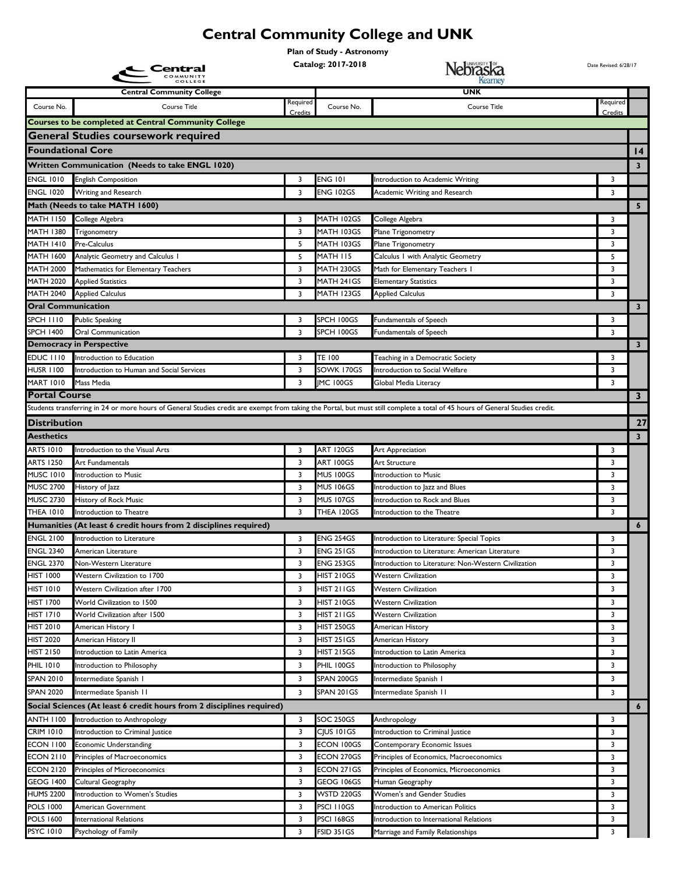## **Central Community College and UNK**

**Plan of Study - Astronomy**

**Catalog: 2017-2018 Date Revised: 6/28/17** 

|                                                             | .en<br>COMMUNITY                                                                                                                                                              |          |                                   | Nebraska<br>Kearney                                                          |          |                         |  |  |
|-------------------------------------------------------------|-------------------------------------------------------------------------------------------------------------------------------------------------------------------------------|----------|-----------------------------------|------------------------------------------------------------------------------|----------|-------------------------|--|--|
|                                                             | COLLEGE<br><b>Central Community College</b>                                                                                                                                   |          |                                   | <b>UNK</b>                                                                   |          |                         |  |  |
| Course No.                                                  | Course Title                                                                                                                                                                  | Required | Course No.                        | Course Title                                                                 | Required |                         |  |  |
|                                                             |                                                                                                                                                                               | Credits  |                                   |                                                                              | Credits  |                         |  |  |
| <b>Courses to be completed at Central Community College</b> |                                                                                                                                                                               |          |                                   |                                                                              |          |                         |  |  |
| <b>General Studies coursework required</b>                  |                                                                                                                                                                               |          |                                   |                                                                              |          |                         |  |  |
| <b>Foundational Core</b>                                    |                                                                                                                                                                               |          |                                   |                                                                              |          | 4                       |  |  |
|                                                             | Written Communication (Needs to take ENGL 1020)                                                                                                                               |          |                                   |                                                                              |          | 3                       |  |  |
| <b>ENGL 1010</b>                                            | <b>English Composition</b>                                                                                                                                                    | 3        | <b>ENG 101</b>                    | Introduction to Academic Writing                                             | 3        |                         |  |  |
| <b>ENGL 1020</b>                                            | Writing and Research                                                                                                                                                          | 3        | <b>ENG 102GS</b>                  | Academic Writing and Research                                                | 3        |                         |  |  |
|                                                             | Math (Needs to take MATH 1600)                                                                                                                                                |          |                                   |                                                                              |          | 5                       |  |  |
| <b>MATH 1150</b>                                            | College Algebra                                                                                                                                                               | 3        | MATH 102GS                        | College Algebra                                                              | 3        |                         |  |  |
| <b>MATH 1380</b>                                            | Trigonometry                                                                                                                                                                  | 3        | MATH 103GS                        | Plane Trigonometry                                                           | 3        |                         |  |  |
| <b>MATH 1410</b>                                            | Pre-Calculus                                                                                                                                                                  | 5        | MATH 103GS                        | Plane Trigonometry                                                           | 3        |                         |  |  |
| <b>MATH 1600</b>                                            | Analytic Geometry and Calculus I                                                                                                                                              | 5        | <b>MATH 115</b>                   | Calculus I with Analytic Geometry                                            | 5        |                         |  |  |
| <b>MATH 2000</b>                                            | Mathematics for Elementary Teachers                                                                                                                                           | 3        | MATH 230GS                        | Math for Elementary Teachers I                                               | 3        |                         |  |  |
| <b>MATH 2020</b>                                            | <b>Applied Statistics</b>                                                                                                                                                     | 3        | MATH 241GS                        | <b>Elementary Statistics</b>                                                 | 3        |                         |  |  |
| <b>MATH 2040</b>                                            | <b>Applied Calculus</b>                                                                                                                                                       | 3        | MATH 123GS                        | <b>Applied Calculus</b>                                                      | 3        |                         |  |  |
| <b>Oral Communication</b>                                   |                                                                                                                                                                               |          |                                   |                                                                              |          | $\overline{\mathbf{3}}$ |  |  |
| <b>SPCH 1110</b>                                            | <b>Public Speaking</b>                                                                                                                                                        | 3        | SPCH 100GS                        | Fundamentals of Speech                                                       | 3        |                         |  |  |
| <b>SPCH 1400</b>                                            | <b>Oral Communication</b><br><b>Democracy in Perspective</b>                                                                                                                  | 3        | SPCH 100GS                        | Fundamentals of Speech                                                       | 3        | 3                       |  |  |
| <b>EDUC 1110</b>                                            | Introduction to Education                                                                                                                                                     | 3        | <b>TE 100</b>                     | Teaching in a Democratic Society                                             | 3        |                         |  |  |
| <b>HUSR 1100</b>                                            | Introduction to Human and Social Services                                                                                                                                     | 3        | SOWK 170GS                        | Introduction to Social Welfare                                               | 3        |                         |  |  |
| <b>MART 1010</b>                                            | Mass Media                                                                                                                                                                    | 3        | <b>IMC 100GS</b>                  | Global Media Literacy                                                        | 3        |                         |  |  |
| <b>Portal Course</b>                                        |                                                                                                                                                                               |          |                                   |                                                                              |          | 3 <sup>7</sup>          |  |  |
|                                                             | Students transferring in 24 or more hours of General Studies credit are exempt from taking the Portal, but must still complete a total of 45 hours of General Studies credit. |          |                                   |                                                                              |          |                         |  |  |
| <b>Distribution</b>                                         |                                                                                                                                                                               |          |                                   |                                                                              |          | 27                      |  |  |
| <b>Aesthetics</b>                                           |                                                                                                                                                                               |          |                                   |                                                                              |          | $\overline{\mathbf{3}}$ |  |  |
| <b>ARTS 1010</b>                                            | Introduction to the Visual Arts                                                                                                                                               | 3        | ART 120GS                         | Art Appreciation                                                             | 3        |                         |  |  |
| <b>ARTS 1250</b>                                            | Art Fundamentals                                                                                                                                                              | 3        | ART 100GS                         | Art Structure                                                                | 3        |                         |  |  |
| <b>MUSC 1010</b>                                            | Introduction to Music                                                                                                                                                         | 3        | <b>MUS 100GS</b>                  | Introduction to Music                                                        | 3        |                         |  |  |
| <b>MUSC 2700</b>                                            | History of Jazz                                                                                                                                                               | 3        | <b>MUS 106GS</b>                  | Introduction to Jazz and Blues                                               | 3        |                         |  |  |
| <b>MUSC 2730</b>                                            | History of Rock Music                                                                                                                                                         | 3        | <b>MUS 107GS</b>                  | Introduction to Rock and Blues                                               | 3        |                         |  |  |
| <b>THEA 1010</b>                                            | Introduction to Theatre                                                                                                                                                       | 3        | THEA 120GS                        | Introduction to the Theatre                                                  | 3        |                         |  |  |
|                                                             | Humanities (At least 6 credit hours from 2 disciplines required)                                                                                                              |          |                                   |                                                                              |          | $\boldsymbol{6}$        |  |  |
| <b>ENGL 2100</b>                                            | Introduction to Literature                                                                                                                                                    | 3        | <b>ENG 254GS</b>                  | Introduction to Literature: Special Topics                                   | 3        |                         |  |  |
| <b>ENGL 2340</b>                                            | American Literature                                                                                                                                                           | 3        | ENG 251GS                         | Introduction to Literature: American Literature                              | 3        |                         |  |  |
| <b>ENGL 2370</b>                                            | Non-Western Literature                                                                                                                                                        |          | <b>ENG 253GS</b>                  | Introduction to Literature: Non-Western Civilization                         | 3        |                         |  |  |
| <b>HIST 1000</b>                                            | <b>Western Civilization to 1700</b>                                                                                                                                           | 3        | HIST 210GS                        | <b>Western Civilization</b>                                                  | 3        |                         |  |  |
| <b>HIST 1010</b>                                            | Western Civilization after 1700                                                                                                                                               | 3        | HIST 211GS                        | <b>Western Civilization</b>                                                  | 3        |                         |  |  |
| <b>HIST 1700</b>                                            | World Civilization to 1500                                                                                                                                                    | 3        | HIST 210GS                        | <b>Western Civilization</b>                                                  | 3        |                         |  |  |
| <b>HIST 1710</b>                                            | World Civilization after 1500                                                                                                                                                 | 3        | HIST 211GS                        | <b>Western Civilization</b>                                                  | 3        |                         |  |  |
| <b>HIST 2010</b>                                            | American History I                                                                                                                                                            | 3        | <b>HIST 250GS</b>                 | American History                                                             | 3        |                         |  |  |
| <b>HIST 2020</b>                                            | American History II                                                                                                                                                           | 3        | HIST 251 GS                       | American History                                                             | 3        |                         |  |  |
| <b>HIST 2150</b>                                            | Introduction to Latin America                                                                                                                                                 | 3        | HIST 215GS                        | Introduction to Latin America                                                | 3        |                         |  |  |
| <b>PHIL 1010</b>                                            | Introduction to Philosophy                                                                                                                                                    | 3        | PHIL 100GS                        | Introduction to Philosophy                                                   | 3        |                         |  |  |
| <b>SPAN 2010</b>                                            | Intermediate Spanish I                                                                                                                                                        | 3        | SPAN 200GS                        | Intermediate Spanish I                                                       | 3        |                         |  |  |
| <b>SPAN 2020</b>                                            | Intermediate Spanish II                                                                                                                                                       | 3        | SPAN 201GS                        | Intermediate Spanish II                                                      | 3        |                         |  |  |
|                                                             | Social Sciences (At least 6 credit hours from 2 disciplines required)                                                                                                         |          |                                   |                                                                              |          | 6                       |  |  |
| <b>ANTH 1100</b>                                            | Introduction to Anthropology                                                                                                                                                  | 3        | SOC 250GS                         | Anthropology                                                                 | 3        |                         |  |  |
| <b>CRIM 1010</b>                                            | Introduction to Criminal Justice                                                                                                                                              | 3        | CJUS 101GS                        | Introduction to Criminal Justice                                             | 3        |                         |  |  |
| <b>ECON 1100</b>                                            | <b>Economic Understanding</b>                                                                                                                                                 | 3        | ECON 100GS                        | Contemporary Economic Issues                                                 | 3        |                         |  |  |
| <b>ECON 2110</b>                                            | Principles of Macroeconomics                                                                                                                                                  | 3        | ECON 270GS                        | Principles of Economics, Macroeconomics                                      | 3        |                         |  |  |
| <b>ECON 2120</b>                                            | Principles of Microeconomics                                                                                                                                                  | 3        | ECON 271GS                        | Principles of Economics, Microeconomics                                      | 3        |                         |  |  |
| <b>GEOG 1400</b>                                            | Cultural Geography                                                                                                                                                            | 3        | GEOG 106GS                        | Human Geography                                                              | 3        |                         |  |  |
| <b>HUMS 2200</b>                                            | Introduction to Women's Studies                                                                                                                                               | 3<br>3   | WSTD 220GS                        | Women's and Gender Studies                                                   | 3        |                         |  |  |
| <b>POLS 1000</b><br><b>POLS 1600</b>                        | American Government<br><b>International Relations</b>                                                                                                                         | 3        | PSCI I I 0GS<br><b>PSCI 168GS</b> | Introduction to American Politics<br>Introduction to International Relations | 3<br>3   |                         |  |  |
| <b>PSYC 1010</b>                                            | Psychology of Family                                                                                                                                                          | 3        | FSID 351GS                        | Marriage and Family Relationships                                            | 3        |                         |  |  |
|                                                             |                                                                                                                                                                               |          |                                   |                                                                              |          |                         |  |  |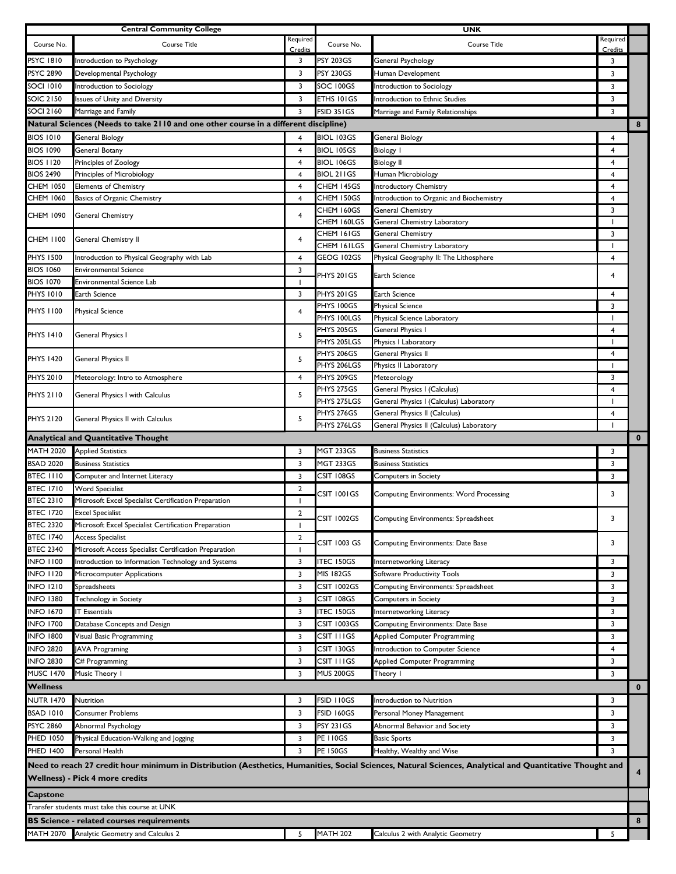|                                      | <b>Central Community College</b>                                                     |                |                   | <b>UNK</b>                                                                                                                                               |                          |                         |
|--------------------------------------|--------------------------------------------------------------------------------------|----------------|-------------------|----------------------------------------------------------------------------------------------------------------------------------------------------------|--------------------------|-------------------------|
| Course No.                           | Course Title                                                                         | Required       | Course No.        | <b>Course Title</b>                                                                                                                                      | Required                 |                         |
|                                      |                                                                                      | Credits        |                   |                                                                                                                                                          | Credits                  |                         |
| PSYC 1810                            | Introduction to Psychology                                                           | 3              | <b>PSY 203GS</b>  | General Psychology                                                                                                                                       | 3                        |                         |
| <b>PSYC 2890</b>                     | Developmental Psychology                                                             | 3              | <b>PSY 230GS</b>  | Human Development                                                                                                                                        | 3                        |                         |
| <b>SOCI 1010</b>                     | Introduction to Sociology                                                            | 3              | SOC 100GS         | Introduction to Sociology                                                                                                                                | 3                        |                         |
| SOIC 2150                            | Issues of Unity and Diversity                                                        | 3              | ETHS 101GS        | Introduction to Ethnic Studies                                                                                                                           | 3                        |                         |
| <b>SOCI 2160</b>                     | Marriage and Family                                                                  | 3              | <b>FSID 351GS</b> | Marriage and Family Relationships                                                                                                                        | 3                        |                         |
|                                      | Natural Sciences (Needs to take 2110 and one other course in a different discipline) |                |                   |                                                                                                                                                          |                          | 8                       |
| <b>BIOS 1010</b>                     | <b>General Biology</b>                                                               | 4              | BIOL 103GS        | <b>General Biology</b>                                                                                                                                   | 4                        |                         |
| <b>BIOS 1090</b>                     | <b>General Botany</b>                                                                | 4              | <b>BIOL 105GS</b> | <b>Biology I</b>                                                                                                                                         | $\overline{4}$           |                         |
| <b>BIOS 1120</b>                     | Principles of Zoology                                                                | 4              | BIOL 106GS        | <b>Biology II</b>                                                                                                                                        | 4                        |                         |
| <b>BIOS 2490</b>                     | Principles of Microbiology                                                           | 4              | BIOL 211GS        | Human Microbiology                                                                                                                                       | 4                        |                         |
| <b>CHEM 1050</b>                     | <b>Elements of Chemistry</b>                                                         | $\overline{4}$ | CHEM 145GS        | <b>Introductory Chemistry</b>                                                                                                                            | 4                        |                         |
| <b>CHEM 1060</b>                     | Basics of Organic Chemistry                                                          | 4              | CHEM 150GS        | Introduction to Organic and Biochemistry                                                                                                                 | 4                        |                         |
| CHEM 1090                            | General Chemistry                                                                    | 4              | CHEM 160GS        | General Chemistry                                                                                                                                        | 3                        |                         |
|                                      |                                                                                      |                | CHEM 160LGS       | General Chemistry Laboratory                                                                                                                             | $\overline{\phantom{a}}$ |                         |
| CHEM 1100                            | General Chemistry II                                                                 | 4              | CHEM 161GS        | <b>General Chemistry</b>                                                                                                                                 | 3                        |                         |
| <b>PHYS 1500</b>                     |                                                                                      |                | CHEM 161LGS       | General Chemistry Laboratory                                                                                                                             | $\mathbf{I}$             |                         |
|                                      | Introduction to Physical Geography with Lab                                          | 4<br>3         | GEOG 102GS        | Physical Geography II: The Lithosphere                                                                                                                   | 4                        |                         |
| <b>BIOS 1060</b><br><b>BIOS 1070</b> | <b>Environmental Science</b><br><b>Environmental Science Lab</b>                     | $\mathbf{I}$   | PHYS 201GS        | Earth Science                                                                                                                                            | 4                        |                         |
| <b>PHYS 1010</b>                     | Earth Science                                                                        | 3              | PHYS 201GS        | Earth Science                                                                                                                                            | $\overline{4}$           |                         |
|                                      |                                                                                      |                | PHYS 100GS        | <b>Physical Science</b>                                                                                                                                  | 3                        |                         |
| <b>PHYS 1100</b>                     | <b>Physical Science</b>                                                              | 4              | PHYS 100LGS       | Physical Science Laboratory                                                                                                                              | $\overline{\phantom{a}}$ |                         |
|                                      |                                                                                      |                | PHYS 205GS        | General Physics I                                                                                                                                        | 4                        |                         |
| <b>PHYS 1410</b>                     | General Physics I                                                                    | 5              | PHYS 205LGS       | Physics I Laboratory                                                                                                                                     | $\mathbf{I}$             |                         |
|                                      |                                                                                      |                | PHYS 206GS        | General Physics II                                                                                                                                       | 4                        |                         |
| <b>PHYS 1420</b>                     | General Physics II                                                                   | 5              | PHYS 206LGS       | Physics II Laboratory                                                                                                                                    |                          |                         |
| <b>PHYS 2010</b>                     | Meteorology: Intro to Atmosphere                                                     | 4              | PHYS 209GS        | Meteorology                                                                                                                                              | 3                        |                         |
|                                      |                                                                                      |                | PHYS 275GS        | General Physics I (Calculus)                                                                                                                             | $\overline{4}$           |                         |
| <b>PHYS 2110</b>                     | General Physics I with Calculus                                                      | 5              | PHYS 275LGS       | General Physics I (Calculus) Laboratory                                                                                                                  | $\mathbf{I}$             |                         |
|                                      |                                                                                      |                | PHYS 276GS        | General Physics II (Calculus)                                                                                                                            | 4                        |                         |
| <b>PHYS 2120</b>                     | General Physics II with Calculus                                                     | 5              | PHYS 276LGS       | General Physics II (Calculus) Laboratory                                                                                                                 | $\blacksquare$           |                         |
|                                      | <b>Analytical and Quantitative Thought</b>                                           |                |                   |                                                                                                                                                          |                          | $\mathbf 0$             |
| <b>MATH 2020</b>                     | <b>Applied Statistics</b>                                                            | 3              | <b>MGT 233GS</b>  | <b>Business Statistics</b>                                                                                                                               | 3                        |                         |
|                                      |                                                                                      |                |                   |                                                                                                                                                          |                          |                         |
| <b>BSAD 2020</b>                     | <b>Business Statistics</b>                                                           | 3              | <b>MGT 233GS</b>  | <b>Business Statistics</b>                                                                                                                               | 3                        |                         |
| <b>BTEC 1110</b>                     | Computer and Internet Literacy                                                       | 3              | CSIT 108GS        | Computers in Society                                                                                                                                     | 3                        |                         |
| <b>BTEC 1710</b>                     | Word Specialist                                                                      | 2              |                   |                                                                                                                                                          |                          |                         |
| <b>BTEC 2310</b>                     | Microsoft Excel Specialist Certification Preparation                                 | $\mathbf{I}$   | CSIT 1001GS       | <b>Computing Environments: Word Processing</b>                                                                                                           | 3                        |                         |
| <b>BTEC 1720</b>                     | <b>Excel Specialist</b>                                                              | $\overline{2}$ |                   |                                                                                                                                                          |                          |                         |
| <b>BTEC 2320</b>                     | Microsoft Excel Specialist Certification Preparation                                 | ı              | CSIT 1002GS       | Computing Environments: Spreadsheet                                                                                                                      | 3                        |                         |
| <b>BTEC 1740</b>                     | <b>Access Specialist</b>                                                             | $\overline{2}$ |                   |                                                                                                                                                          |                          |                         |
| <b>BTEC 2340</b>                     | Microsoft Access Specialist Certification Preparation                                | $\mathbf{I}$   | CSIT 1003 GS      | Computing Environments: Date Base                                                                                                                        | 3                        |                         |
| <b>INFO 1100</b>                     | Introduction to Information Technology and Systems                                   | 3              | <b>ITEC 150GS</b> | Internetworking Literacy                                                                                                                                 | 3                        |                         |
| <b>INFO 1120</b>                     | Microcomputer Applications                                                           | 3              | <b>MIS 182GS</b>  | Software Productivity Tools                                                                                                                              | 3                        |                         |
| <b>INFO 1210</b>                     | Spreadsheets                                                                         | 3              | CSIT 1002GS       | Computing Environments: Spreadsheet                                                                                                                      | 3                        |                         |
| <b>INFO 1380</b>                     | Technology in Society                                                                | 3              | CSIT 108GS        | Computers in Society                                                                                                                                     | 3                        |                         |
| <b>INFO 1670</b>                     | <b>IT Essentials</b>                                                                 | 3              | <b>ITEC 150GS</b> | Internetworking Literacy                                                                                                                                 | 3                        |                         |
| <b>INFO 1700</b>                     | Database Concepts and Design                                                         | 3              | CSIT 1003GS       | Computing Environments: Date Base                                                                                                                        | 3                        |                         |
| <b>INFO 1800</b>                     | Visual Basic Programming                                                             | 3              | CSIT I I I GS     | <b>Applied Computer Programming</b>                                                                                                                      | 3                        |                         |
| <b>INFO 2820</b>                     | <b>JAVA Programing</b>                                                               | 3              | CSIT 130GS        | Introduction to Computer Science                                                                                                                         | 4                        |                         |
| <b>INFO 2830</b>                     | C# Programming                                                                       | 3              | CSIT I I I GS     | <b>Applied Computer Programming</b>                                                                                                                      | 3                        |                         |
| <b>MUSC 1470</b>                     | Music Theory I                                                                       | 3              | <b>MUS 200GS</b>  | Theory I                                                                                                                                                 | 3                        |                         |
| <b>Wellness</b>                      |                                                                                      |                |                   |                                                                                                                                                          |                          | $\bf{0}$                |
|                                      |                                                                                      |                |                   |                                                                                                                                                          |                          |                         |
| <b>NUTR 1470</b>                     | Nutrition                                                                            | 3              | FSID 110GS        | Introduction to Nutrition                                                                                                                                | 3                        |                         |
| <b>BSAD 1010</b>                     | <b>Consumer Problems</b>                                                             | 3              | <b>FSID 160GS</b> | Personal Money Management                                                                                                                                | 3                        |                         |
| <b>PSYC 2860</b>                     | Abnormal Psychology                                                                  | 3              | <b>PSY 231GS</b>  | Abnormal Behavior and Society                                                                                                                            | 3                        |                         |
| <b>PHED 1050</b>                     | Physical Education-Walking and Jogging                                               | 3              | <b>PE 110GS</b>   | <b>Basic Sports</b>                                                                                                                                      | 3                        |                         |
| <b>PHED 1400</b>                     | Personal Health                                                                      | 3              | <b>PE 150GS</b>   | Healthy, Wealthy and Wise                                                                                                                                | 3                        |                         |
|                                      |                                                                                      |                |                   | Need to reach 27 credit hour minimum in Distribution (Aesthetics, Humanities, Social Sciences, Natural Sciences, Analytical and Quantitative Thought and |                          | $\overline{\mathbf{4}}$ |
|                                      | <b>Wellness) - Pick 4 more credits</b>                                               |                |                   |                                                                                                                                                          |                          |                         |
| Capstone                             |                                                                                      |                |                   |                                                                                                                                                          |                          |                         |
|                                      | Transfer students must take this course at UNK                                       |                |                   |                                                                                                                                                          |                          |                         |
|                                      | <b>BS Science - related courses requirements</b>                                     |                |                   |                                                                                                                                                          |                          | 8                       |